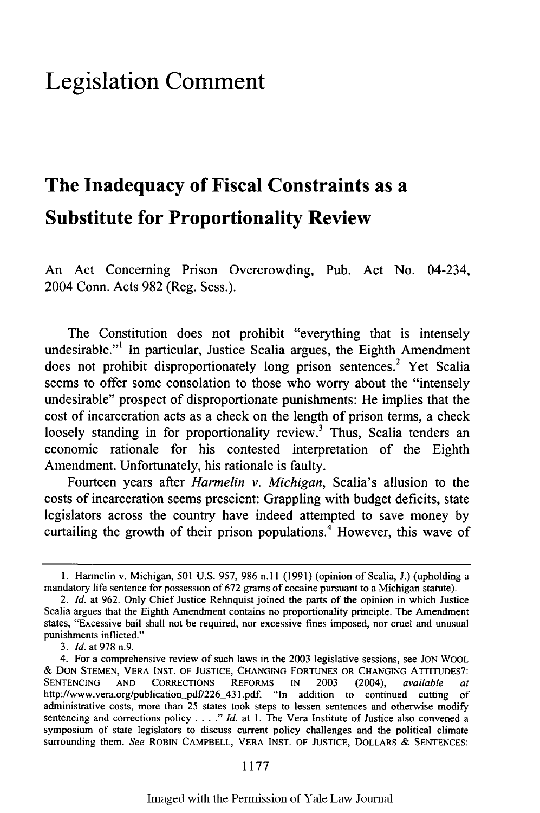## **Legislation Comment**

# **The Inadequacy of Fiscal Constraints as a Substitute for Proportionality Review**

An Act Concerning Prison Overcrowding, Pub. Act No. 04-234, 2004 Conn. Acts **982** (Reg. Sess.).

The Constitution does not prohibit "everything that is intensely undesirable."' In particular, Justice Scalia argues, the Eighth Amendment does not prohibit disproportionately long prison sentences.<sup>2</sup> Yet Scalia seems to offer some consolation to those who worry about the "intensely undesirable" prospect of disproportionate punishments: He implies that the cost of incarceration acts as a check on the length of prison terms, a check loosely standing in for proportionality review.<sup>3</sup> Thus, Scalia tenders an economic rationale for his contested interpretation of the Eighth Amendment. Unfortunately, his rationale is faulty.

Fourteen years after *Harmelin v. Michigan,* Scalia's allusion to the costs of incarceration seems prescient: Grappling with budget deficits, state legislators across the country have indeed attempted to save money **by** curtailing the growth of their prison populations.<sup>4</sup> However, this wave of

3. *Id.* at 978 n.9.

<sup>1.</sup> Harmelin v. Michigan, 501 U.S. 957, 986 n.11 (1991) (opinion of Scalia, J.) (upholding a mandatory life sentence for possession of 672 grams of cocaine pursuant to a Michigan statute).

*<sup>2.</sup> Id.* at 962. Only Chief Justice Rehnquist joined the parts of the opinion in which Justice Scalia argues that the Eighth Amendment contains no proportionality principle. The Amendment states, "Excessive bail shall not be required, nor excessive fines imposed, nor cruel and unusual punishments inflicted."

<sup>4.</sup> For a comprehensive review of such laws in the **2003** legislative sessions, see **JON** WOOL & DON **STEMEN,** VERA INST. OF **JUSTICE, CHANGING** FORTUNES OR **CHANGING** ATTITUDES?: SENTENCING AND CORRECTIONS REFORMS IN 2003 (2004), *available* http://www.vera.org/publication\_pdf/226\_431.pdf. "In addition to continued cutting of administrative costs, more than 25 states took steps to lessen sentences and otherwise modify sentencing and corrections policy . . . ." Id. at 1. The Vera Institute of Justice also convened a symposium of state legislators to discuss current policy challenges and the political climate surrounding them. *See* ROBIN CAMPBELL, VERA **INST.** OF **JUSTICE,** DOLLARS & **SENTENCES:**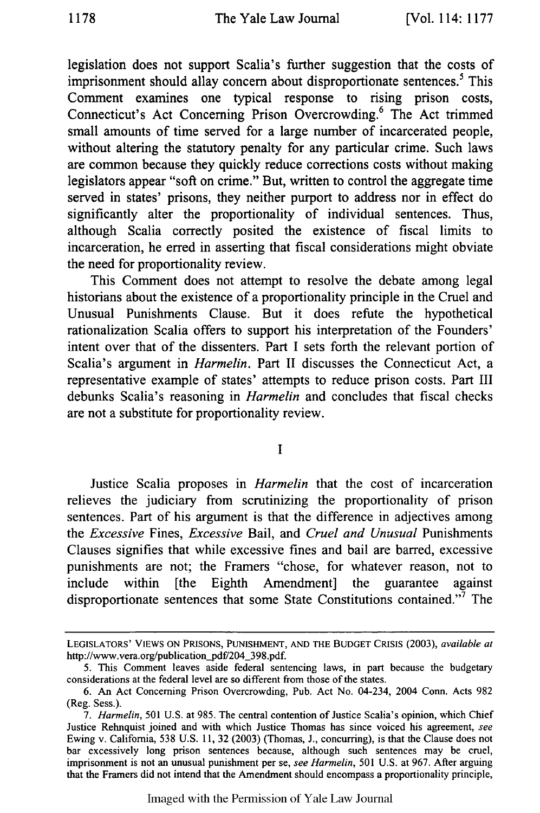legislation does not support Scalia's further suggestion that the costs of imprisonment should allay concern about disproportionate sentences.<sup>5</sup> This Comment examines one typical response to rising prison costs, Connecticut's Act Concerning Prison Overcrowding.6 The Act trimmed small amounts of time served for a large number of incarcerated people, without altering the statutory penalty for any particular crime. Such laws are common because they quickly reduce corrections costs without making legislators appear "soft on crime." But, written to control the aggregate time served in states' prisons, they neither purport to address nor in effect do significantly alter the proportionality of individual sentences. Thus, although Scalia correctly posited the existence of fiscal limits to incarceration, he erred in asserting that fiscal considerations might obviate the need for proportionality review.

This Comment does not attempt to resolve the debate among legal historians about the existence of a proportionality principle in the Cruel and Unusual Punishments Clause. But it does refute the hypothetical rationalization Scalia offers to support his interpretation of the Founders' intent over that of the dissenters. Part I sets forth the relevant portion of Scalia's argument in *Harmelin.* Part II discusses the Connecticut Act, a representative example of states' attempts to reduce prison costs. Part III debunks Scalia's reasoning in *Harmelin* and concludes that fiscal checks are not a substitute for proportionality review.

**I**

Justice Scalia proposes in *Harmelin* that the cost of incarceration relieves the judiciary from scrutinizing the proportionality of prison sentences. Part of his argument is that the difference in adjectives among the *Excessive* Fines, *Excessive* Bail, and *Cruel and Unusual* Punishments Clauses signifies that while excessive fines and bail are barred, excessive punishments are not; the Framers "chose, for whatever reason, not to include within [the Eighth Amendment] the guarantee against disproportionate sentences that some State Constitutions contained."7 The

**LEGISLATORS'** VIEWS **ON PRISONS, PUNISHMENT, AND** THE **BUDGET CRISIS** (2003), *available at* http://www.vera.org/publication\_pdf/204\_398.pdf.

<sup>5.</sup> This Comment leaves aside federal sentencing laws, in part because the budgetary considerations at the federal level are so different from those of the states.

<sup>6.</sup> An Act Concerning Prison Overcrowding, Pub. Act No. 04-234, 2004 Conn. Acts 982 (Reg. Sess.).

*<sup>7.</sup> Harmelin,* 501 U.S. at 985. The central contention of Justice Scalia's opinion, which Chief Justice Rehnquist joined and with which Justice Thomas has since voiced his agreement, *see* Ewing v. California, 538 U.S. 11, 32 (2003) (Thomas, J., concurring), is that the Clause does not bar excessively long prison sentences because, although such sentences may be cruel, imprisonment is not an unusual punishment per se, *see Harmelin,* 501 U.S. at 967. After arguing that the Framers did not intend that the Amendment should encompass a proportionality principle,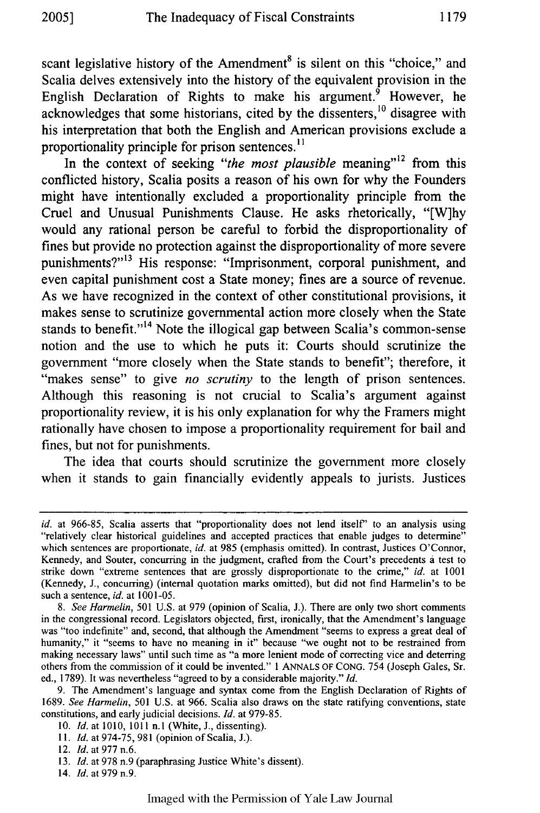scant legislative history of the Amendment<sup>8</sup> is silent on this "choice," and Scalia delves extensively into the history of the equivalent provision in the English Declaration of Rights to make his argument.<sup> $\hat{9}$ </sup> However, he acknowledges that some historians, cited by the dissenters,<sup>10</sup> disagree with his interpretation that both the English and American provisions exclude a proportionality principle for prison sentences.<sup>11</sup>

In the context of seeking "the most plausible meaning"<sup>12</sup> from this conflicted history, Scalia posits a reason of his own for why the Founders might have intentionally excluded a proportionality principle from the Cruel and Unusual Punishments Clause. He asks rhetorically, "[W]hy would any rational person be careful to forbid the disproportionality of fines but provide no protection against the disproportionality of more severe punishments?"<sup>13</sup> His response: "Imprisonment, corporal punishment, and even capital punishment cost a State money; fines are a source of revenue. As we have recognized in the context of other constitutional provisions, it makes sense to scrutinize governmental action more closely when the State stands to benefit."<sup>14</sup> Note the illogical gap between Scalia's common-sense notion and the use to which he puts it: Courts should scrutinize the government "more closely when the State stands to benefit"; therefore, it "makes sense" to give *no scrutiny* to the length of prison sentences. Although this reasoning is not crucial to Scalia's argument against proportionality review, it is his only explanation for why the Framers might rationally have chosen to impose a proportionality requirement for bail and fines, but not for punishments.

The idea that courts should scrutinize the government more closely when it stands to gain financially evidently appeals to jurists. Justices

*id.* at 966-85, Scalia asserts that "proportionality does not lend itself" to an analysis using "relatively clear historical guidelines and accepted practices that enable judges to determine" which sentences are proportionate, *id.* at 985 (emphasis omitted). In contrast, Justices O'Connor, Kennedy, and Souter, concurring in the judgment, crafted from the Court's precedents a test to strike down "extreme sentences that are grossly disproportionate to the crime," *id.* at 1001 (Kennedy, J., concurring) (internal quotation marks omitted), but did not find Harmelin's to be such a sentence, *id.* at 1001-05.

*<sup>8.</sup> See Harmelin,* 501 U.S. at 979 (opinion of Scalia, J.). There are only two short comments in the congressional record. Legislators objected, first, ironically, that the Amendment's language was "too indefinite" and, second, that although the Amendment "seems to express a great deal of humanity," it "seems to have no meaning in it" because "we ought not to be restrained from making necessary laws" until such time as "a more lenient mode of correcting vice and deterring others from the commission of it could be invented." **I** ANNALS OF CONG. 754 (Joseph Gales, Sr. ed., 1789). It was nevertheless "agreed to by a considerable majority." *Id.*

<sup>9.</sup> The Amendment's language and syntax come from the English Declaration of Rights of 1689. *See Harmelin,* 501 U.S. at 966. Scalia also draws on the state ratifying conventions, state constitutions, and early judicial decisions. *Id.* at 979-85.

<sup>10.</sup> *Id.* at 1010, 1011 **n.I** (White, J., dissenting).

*<sup>11.</sup> Id.* at 974-75, 981 (opinion of Scalia, J.).

<sup>12.</sup> *Id.* at 977 n.6.

<sup>13.</sup> *Id.* at 978 n.9 (paraphrasing Justice White's dissent).

<sup>14.</sup> *Id.* at 979 n.9.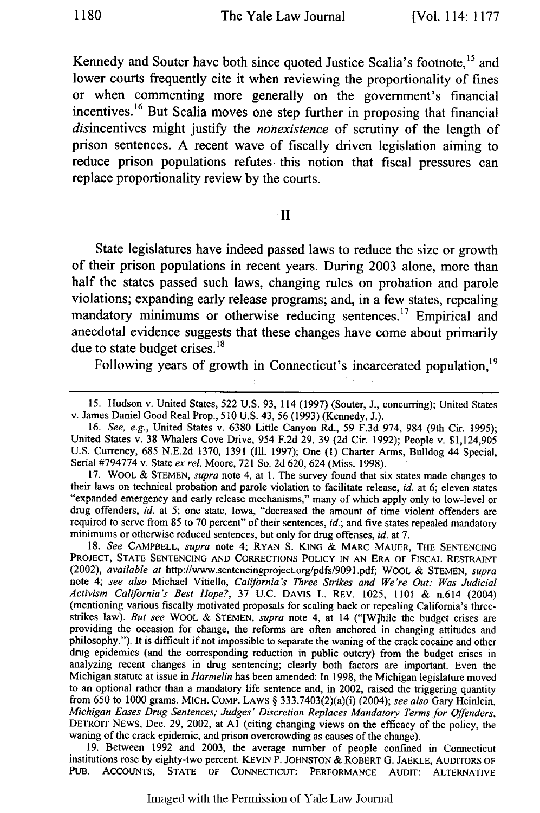Kennedy and Souter have both since quoted Justice Scalia's footnote,<sup>15</sup> and lower courts frequently cite it when reviewing the proportionality of fines or when commenting more generally on the government's financial incentives.16 But Scalia moves one step further in proposing that financial disincentives might justify the *nonexistence* of scrutiny of the length of prison sentences. A recent wave of fiscally driven legislation aiming to reduce prison populations refutes this notion that fiscal pressures can replace proportionality review **by** the courts.

#### **II**

State legislatures have indeed passed laws to reduce the size or growth of their prison populations in recent years. During 2003 alone, more than half the states passed such laws, changing rules on probation and parole violations; expanding early release programs; and, in a few states, repealing mandatory minimums or otherwise reducing sentences.<sup>17</sup> Empirical and anecdotal evidence suggests that these changes have come about primarily due to state budget crises. $^{18}$ 

Following years of growth in Connecticut's incarcerated population,<sup>19</sup>

**17.** WOOL & STEMEN, *supra* note 4, at 1. The survey found that six states made changes to their laws on technical probation and parole violation to facilitate release, *id.* at 6; eleven states "expanded emergency and early release mechanisms," many of which apply only to low-level or drug offenders, *id. at* 5; one state, Iowa, "decreased the amount of time violent offenders are required to serve from 85 to 70 percent" of their sentences, *id.;* and five states repealed mandatory minimums or otherwise reduced sentences, but only for drug offenses, *id.* at 7.

**18.** *See* CAMPBELL, *supra* note 4; RYAN **S.** KING & MARC MAUER, THE SENTENCING PROJECT, STATE SENTENCING AND CORRECTIONS POLICY IN AN ERA OF FISCAL RESTRAINT (2002), *available at* http://www.sentencingproject.org/pdfs/9091.pdf, WOOL & STEMEN, *supra* note 4; *see also* Michael Vitiello, *California 's Three Strikes and We're Out: Was Judicial Activism California's Best Hope?,* 37 U.C. DAVIS L. REV. 1025, 1101 & n.614 (2004) (mentioning various fiscally motivated proposals for scaling back or repealing California's threestrikes law). *But see* WOOL & STEMEN, *supra* note 4, at 14 ("[W]hile the budget crises are providing the occasion for change, the reforms are often anchored in changing attitudes and philosophy."). It is difficult if not impossible to separate the waning of the crack cocaine and other drug epidemics (and the corresponding reduction in public outcry) from the budget crises in analyzing recent changes in drug sentencing; clearly both factors are important. Even the Michigan statute at issue in *Harmelin* has been amended: In **1998,** the Michigan legislature moved to an optional rather than a mandatory life sentence and, in 2002, raised the triggering quantity from 650 to 1000 grams. MICH. CoMP. LAWS § 333.7403(2)(a)(i) (2004); *see also* Gary Heinlein, *Michigan Eases Drug Sentences; Judges' Discretion Replaces Mandatory Terms for Offenders,* DETROIT NEWS, Dec. 29, 2002, at Al (citing changing views on the efficacy of the policy, the waning of the crack epidemic, and prison overcrowding as causes of the change).

**19.** Between 1992 and 2003, the average number of people confined in Connecticut institutions rose **by** eighty-two percent. KEVIN P. JOHNSTON & ROBERT G. JAEKLE, AUDITORS OF PUB. ACCOUNTS, STATE OF CONNECTICUT: PERFORMANCE AUDIT: ALTERNATIVE

<sup>15.</sup> Hudson v. United States, 522 U.S. 93, 114 (1997) (Souter, J., concurring); United States v. James Daniel Good Real Prop., 510 U.S. 43, 56 (1993) (Kennedy, J.).

**<sup>16.</sup>** *See, e.g.,* United States v. 6380 Little Canyon Rd., 59 F.3d 974, 984 (9th Cir. 1995); United States v. 38 Whalers Cove Drive, 954 F.2d 29, 39 (2d Cir. 1992); People v. \$1,124,905 U.S. Currency, 685 N.E.2d **1370, 1391** (Il1. 1997); One **(1)** Charter Arms, Bulldog 44 Special, Serial **#794774** v. State *ex rel.* Moore, **721** So. 2d 620, 624 (Miss. 1998).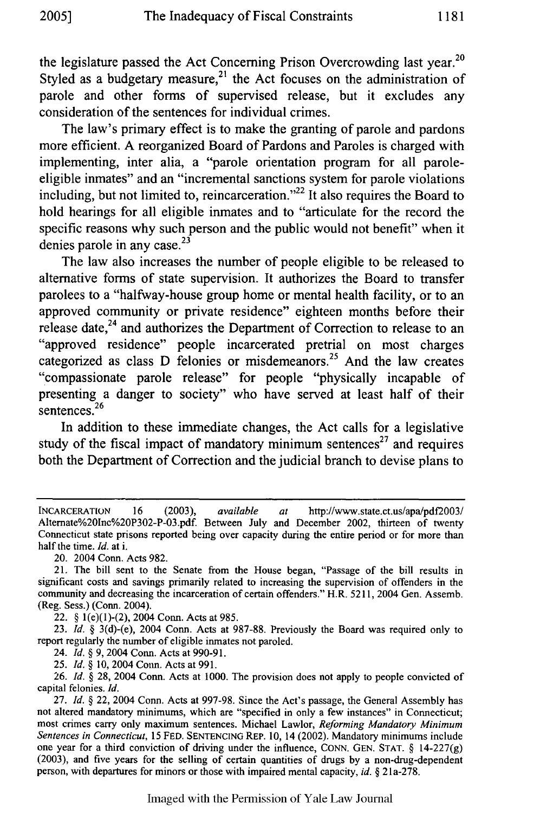**<sup>20</sup>** the legislature passed the Act Concerning Prison Overcrowding last year. Styled as a budgetary measure,<sup>21</sup> the Act focuses on the administration of parole and other forms of supervised release, but it excludes any consideration of the sentences for individual crimes.

The law's primary effect is to make the granting of parole and pardons more efficient. A reorganized Board of Pardons and Paroles is charged with implementing, inter alia, a "parole orientation program for all paroleeligible inmates" and an "incremental sanctions system for parole violations including, but not limited to, reincarceration."<sup>22</sup> It also requires the Board to hold hearings for all eligible inmates and to "articulate for the record the specific reasons why such person and the public would not benefit" when it denies parole in any case. $23$ 

The law also increases the number of people eligible to be released to alternative forms of state supervision. It authorizes the Board to transfer parolees to a "halfway-house group home or mental health facility, or to an approved community or private residence" eighteen months before their release date, $24$  and authorizes the Department of Correction to release to an "approved residence" people incarcerated pretrial on most charges categorized as class D felonies or misdemeanors.<sup>25</sup> And the law creates "compassionate parole release" for people "physically incapable of presenting a danger to society" who have served at least half of their sentences.<sup>26</sup>

In addition to these immediate changes, the Act calls for a legislative study of the fiscal impact of mandatory minimum sentences<sup>27</sup> and requires both the Department of Correction and the judicial branch to devise plans to

20. 2004 Conn. Acts 982.

22. § l(e)(1)-(2), 2004 Conn. Acts at 985.

23. *Id.* § 3(d)-(e), 2004 Conn. Acts at 987-88. Previously the Board was required only to report regularly the number of eligible inmates not paroled.

24. *Id.* **§** 9, 2004 Conn. Acts at 990-9 1.

25. *Id. §* 10, 2004 Conn. Acts at 991.

*26. Id. §* 28, 2004 Conn. Acts at 1000. The provision does not apply to people convicted of capital felonies. *Id.*

27. *Id. §* 22, 2004 Conn. Acts at 997-98. Since the Act's passage, the General Assembly has not altered mandatory minimums, which are "specified in only a few instances" in Connecticut; most crimes carry only maximum sentences. Michael Lawlor, *Reforming Mandatory Minimum Sentences in Connecticut,* 15 FED. **SENTENCING** REP. **10,** 14 (2002). Mandatory minimums include one year for a third conviction of driving under the influence, CONN. GEN. **STAT.** § 14-227(g) (2003), and five years for the selling of certain quantities of drugs by a non-drug-dependent person, with departures for minors or those with impaired mental capacity, *id. §* **21** a-278.

INCARCERATION 16 (2003), *available at* http://www.state.ct.us/apa/pdf2003/ Alternate%20lnc%20P302-P-03.pdf. Between July and December 2002, thirteen of twenty Connecticut state prisons reported being over capacity during the entire period or for more than half the time. *Id.* at i.

<sup>21.</sup> The bill sent to the Senate from the House began, "Passage of the bill results in significant costs and savings primarily related to increasing the supervision of offenders in the community and decreasing the incarceration of certain offenders." H.R. 5211, 2004 Gen. Assemb. (Reg. Sess.) (Conn. 2004).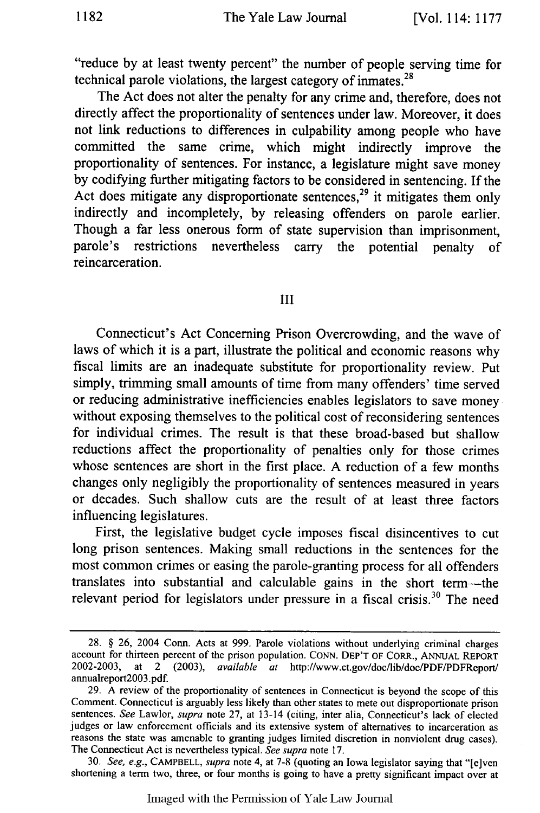"reduce by at least twenty percent" the number of people serving time for technical parole violations, the largest category of inmates. $^{28}$ 

The Act does not alter the penalty for any crime and, therefore, does not directly affect the proportionality of sentences under law. Moreover, it does not link reductions to differences in culpability among people who have committed the same crime, which might indirectly improve the proportionality of sentences. For instance, a legislature might save money by codifying further mitigating factors to be considered in sentencing. If the Act does mitigate any disproportionate sentences,<sup>29</sup> it mitigates them only indirectly and incompletely, by releasing offenders on parole earlier. Though a far less onerous form of state supervision than imprisonment, parole's restrictions nevertheless carry the potential penalty of reincarceration.

### III

Connecticut's Act Concerning Prison Overcrowding, and the wave of laws of which it is a part, illustrate the political and economic reasons why fiscal limits are an inadequate substitute for proportionality review. Put simply, trimming small amounts of time from many offenders' time served or reducing administrative inefficiencies enables legislators to save money without exposing themselves to the political cost of reconsidering sentences for individual crimes. The result is that these broad-based but shallow reductions affect the proportionality of penalties only for those crimes whose sentences are short in the first place. A reduction of a few months changes only negligibly the proportionality of sentences measured in years or decades. Such shallow cuts are the result of at least three factors influencing legislatures.

First, the legislative budget cycle imposes fiscal disincentives to cut long prison sentences. Making small reductions in the sentences for the most common crimes or easing the parole-granting process for all offenders translates into substantial and calculable gains in the short term-the relevant period for legislators under pressure in a fiscal crisis.<sup>30</sup> The need

<sup>28. § 26, 2004</sup> Conn. Acts at 999. Parole violations without underlying criminal charges account for thirteen percent of the prison population. CONN. DEP'T OF CORR., ANNUAL REPORT 2002-2003, at 2 (2003), *available at* http://www.ct.gov/doc/lib/doc/PDF/PDFReport/ annualreport2003.pdf.

<sup>29.</sup> A review of the proportionality of sentences in Connecticut is beyond the scope of this Comment. Connecticut is arguably less likely than other states to mete out disproportionate prison sentences. *See* Lawlor, *supra* note 27, at 13-14 (citing, inter alia, Connecticut's lack of elected judges or law enforcement officials and its extensive system of alternatives to incarceration as reasons the state was amenable to granting judges limited discretion in nonviolent drug cases). The Connecticut Act is nevertheless typical. *See supra* note 17.

<sup>30.</sup> *See, e.g.,* CAMPBELL, *supra* note 4, at 7-8 (quoting an Iowa legislator saying that "[elven shortening a term two, three, or four months is going to have a pretty significant impact over at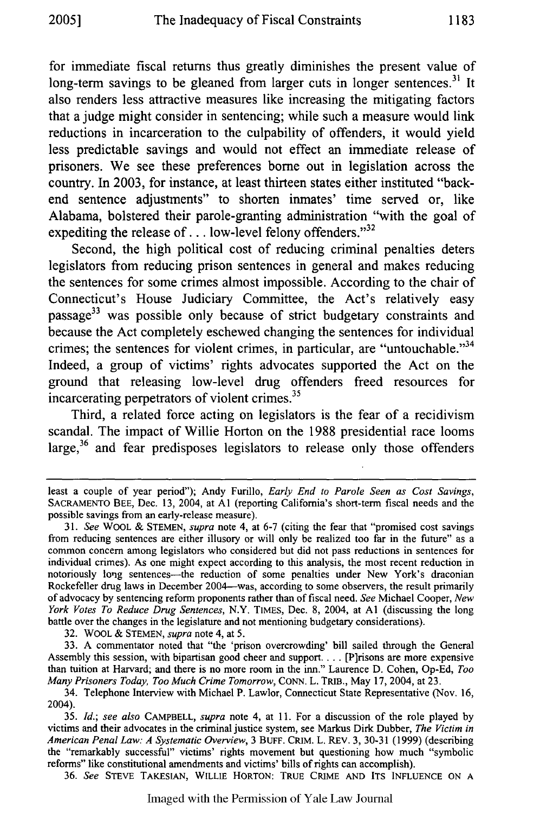for immediate fiscal returns thus greatly diminishes the present value of long-term savings to be gleaned from larger cuts in longer sentences.<sup>31</sup> It also renders less attractive measures like increasing the mitigating factors that a judge might consider in sentencing; while such a measure would link reductions in incarceration to the culpability of offenders, it would yield less predictable savings and would not effect an immediate release of prisoners. We see these preferences **borne** out in legislation across the country. In **2003,** for instance, at least thirteen states either instituted "backend sentence adjustments" to shorten inmates' time served or, like Alabama, bolstered their parole-granting administration "with the goal of expediting the release of  $\dots$  low-level felony offenders.<sup>32</sup>

Second, the high political cost of reducing criminal penalties deters legislators from reducing prison sentences in general and makes reducing the sentences for some crimes almost impossible. According to the chair of Connecticut's House Judiciary Committee, the Act's relatively easy passage<sup>33</sup> was possible only because of strict budgetary constraints and because the Act completely eschewed changing the sentences for individual crimes; the sentences for violent crimes, in particular, are "untouchable."<sup>34</sup> Indeed, a group of victims' rights advocates supported the Act on the ground that releasing low-level drug offenders freed resources for incarcerating perpetrators of violent crimes.<sup>35</sup>

Third, a related force acting on legislators is the fear of a recidivism scandal. The impact of Willie Horton on the **1988** presidential race looms large,<sup>36</sup> and fear predisposes legislators to release only those offenders

32. WOOL & STEMEN, *supra* note 4, at 5.

33. A commentator noted that "the 'prison overcrowding' bill sailed through the General Assembly this session, with bipartisan good cheer and support **....** [P]risons are more expensive than tuition at Harvard; and there is no more room in the inn." Laurence D. Cohen, Op-Ed, *Too Many Prisoners Today, Too Much Crime Tomorrow,* **CONN.** L. TRIB., May 17, 2004, at 23.

36. *See* STEVE TAKESIAN, WILLIE HORTON: TRUE CRIME **AND ITS INFLUENCE** ON **A**

least a couple of year period"); Andy Furillo, *Early End to Parole Seen as Cost Savings,* SACRAMENTO **BEE,** Dec. 13, 2004, at Al (reporting California's short-term fiscal needs and the possible savings from an early-release measure).

<sup>31.</sup> *See* WOOL & STEMEN, *supra* note 4, at 6-7 (citing the fear that "promised cost savings from reducing sentences are either illusory or will only be realized too far in the future" as a common concern among legislators who considered but did not pass reductions in sentences for individual crimes). As one might expect according to this analysis, the most recent reduction in notoriously long sentences-the reduction of some penalties under New York's draconian Rockefeller drug laws in December 2004-was, according to some observers, the result primarily of advocacy by sentencing reform proponents rather than of fiscal need. *See* Michael Cooper, *New York Votes To Reduce Drug Sentences,* N.Y. TIMES, Dec. 8, 2004, at **Al** (discussing the long battle over the changes in the legislature and not mentioning budgetary considerations).

<sup>34.</sup> Telephone Interview with Michael P. Lawlor, Connecticut State Representative (Nov. 16, 2004).

<sup>35.</sup> *Id.; see also* CAMPBELL, *supra* note 4, at 11. For a discussion of the role played by victims and their advocates in the criminal justice system, see Markus Dirk Dubber, *The Victim in American Penal Law: A Systematic Overview,* 3 **BUFF.** CRIM. L. REv. 3, 30-31 (1999) (describing the "remarkably successful" victims' rights movement but questioning how much "symbolic reforms" like constitutional amendments and victims' bills of rights can accomplish).